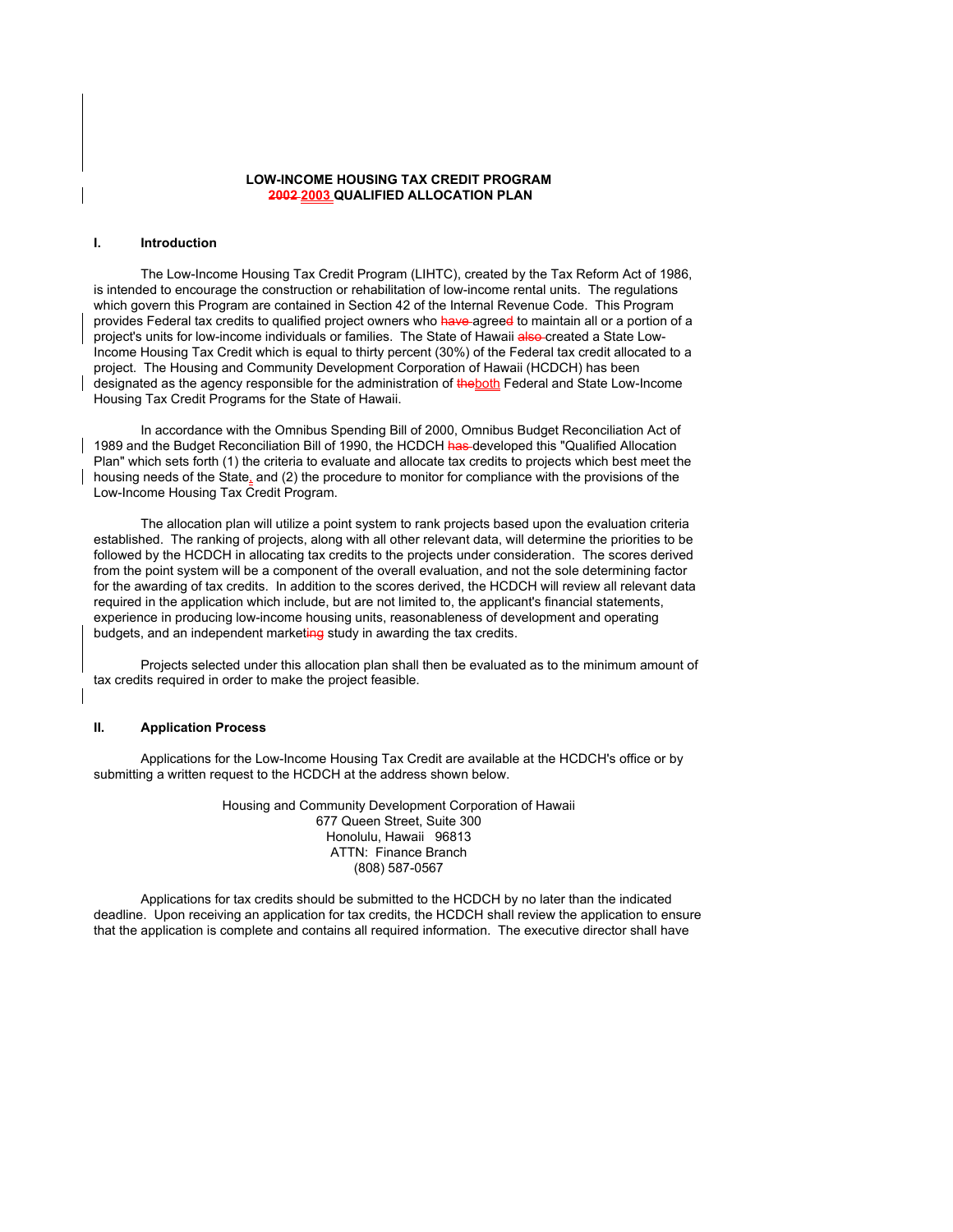## **LOW-INCOME HOUSING TAX CREDIT PROGRAM 2002 2003 QUALIFIED ALLOCATION PLAN**

### **I. Introduction**

 The Low-Income Housing Tax Credit Program (LIHTC), created by the Tax Reform Act of 1986, is intended to encourage the construction or rehabilitation of low-income rental units. The regulations which govern this Program are contained in Section 42 of the Internal Revenue Code. This Program provides Federal tax credits to qualified project owners who have agreed to maintain all or a portion of a project's units for low-income individuals or families. The State of Hawaii also created a State Low-Income Housing Tax Credit which is equal to thirty percent (30%) of the Federal tax credit allocated to a project. The Housing and Community Development Corporation of Hawaii (HCDCH) has been designated as the agency responsible for the administration of the both Federal and State Low-Income Housing Tax Credit Programs for the State of Hawaii.

 In accordance with the Omnibus Spending Bill of 2000, Omnibus Budget Reconciliation Act of 1989 and the Budget Reconciliation Bill of 1990, the HCDCH has developed this "Qualified Allocation Plan" which sets forth (1) the criteria to evaluate and allocate tax credits to projects which best meet the housing needs of the State, and (2) the procedure to monitor for compliance with the provisions of the Low-Income Housing Tax Credit Program.

 The allocation plan will utilize a point system to rank projects based upon the evaluation criteria established. The ranking of projects, along with all other relevant data, will determine the priorities to be followed by the HCDCH in allocating tax credits to the projects under consideration. The scores derived from the point system will be a component of the overall evaluation, and not the sole determining factor for the awarding of tax credits. In addition to the scores derived, the HCDCH will review all relevant data required in the application which include, but are not limited to, the applicant's financial statements, experience in producing low-income housing units, reasonableness of development and operating budgets, and an independent marketing study in awarding the tax credits.

Projects selected under this allocation plan shall then be evaluated as to the minimum amount of tax credits required in order to make the project feasible.

## **II. Application Process**

 Applications for the Low-Income Housing Tax Credit are available at the HCDCH's office or by submitting a written request to the HCDCH at the address shown below.

> Housing and Community Development Corporation of Hawaii 677 Queen Street, Suite 300 Honolulu, Hawaii 96813 ATTN: Finance Branch (808) 587-0567

 Applications for tax credits should be submitted to the HCDCH by no later than the indicated deadline. Upon receiving an application for tax credits, the HCDCH shall review the application to ensure that the application is complete and contains all required information. The executive director shall have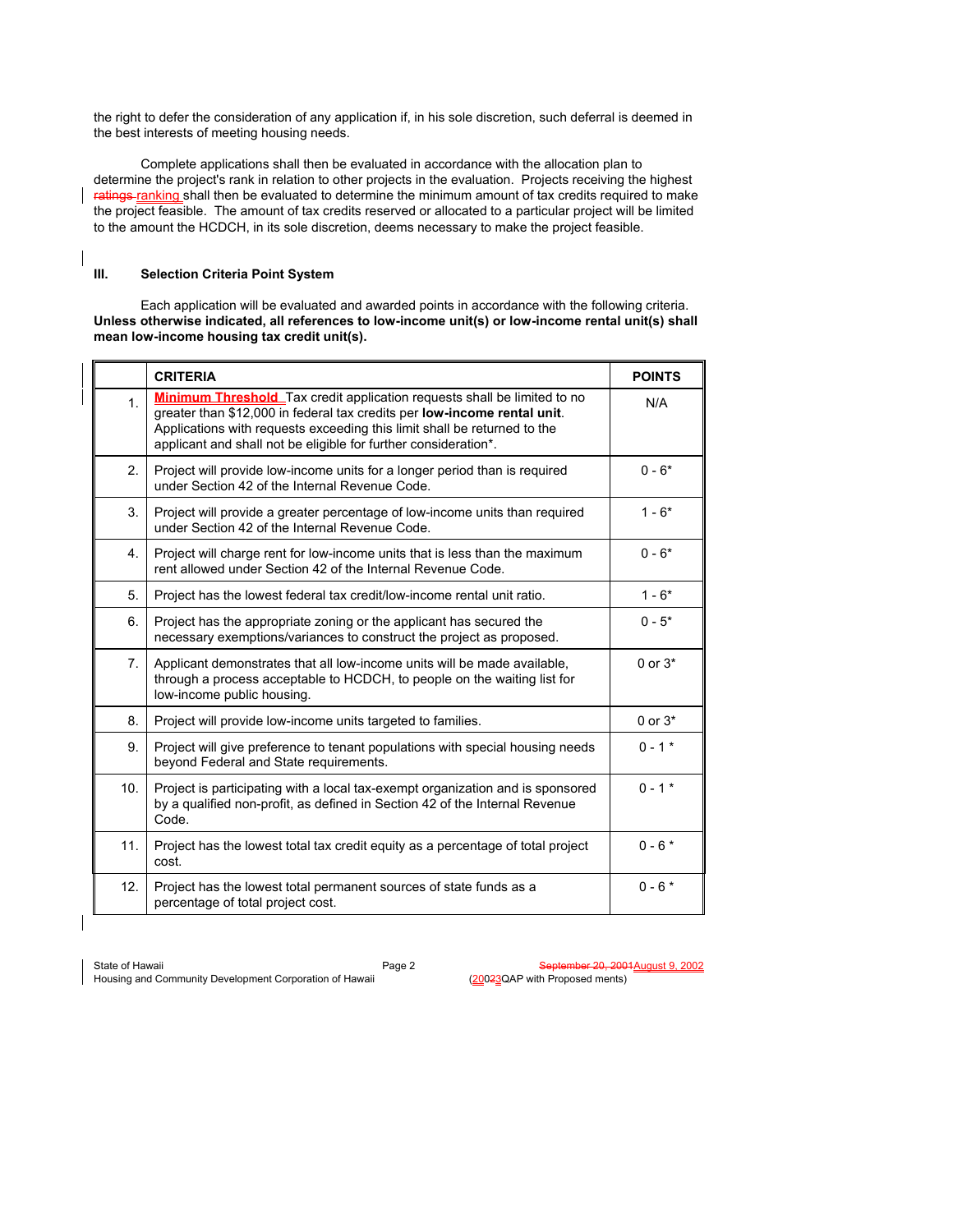the right to defer the consideration of any application if, in his sole discretion, such deferral is deemed in the best interests of meeting housing needs.

 Complete applications shall then be evaluated in accordance with the allocation plan to determine the project's rank in relation to other projects in the evaluation. Projects receiving the highest ratings ranking shall then be evaluated to determine the minimum amount of tax credits required to make the project feasible. The amount of tax credits reserved or allocated to a particular project will be limited to the amount the HCDCH, in its sole discretion, deems necessary to make the project feasible.

# **III. Selection Criteria Point System**

 Each application will be evaluated and awarded points in accordance with the following criteria. **Unless otherwise indicated, all references to low-income unit(s) or low-income rental unit(s) shall mean low-income housing tax credit unit(s).**

|                | <b>CRITERIA</b>                                                                                                                                                                                                                                                                                            | <b>POINTS</b> |
|----------------|------------------------------------------------------------------------------------------------------------------------------------------------------------------------------------------------------------------------------------------------------------------------------------------------------------|---------------|
| 1 <sub>1</sub> | <b>Minimum Threshold</b> Tax credit application requests shall be limited to no<br>greater than \$12,000 in federal tax credits per low-income rental unit.<br>Applications with requests exceeding this limit shall be returned to the<br>applicant and shall not be eligible for further consideration*. | N/A           |
| $\mathbf{2}$   | Project will provide low-income units for a longer period than is required<br>under Section 42 of the Internal Revenue Code.                                                                                                                                                                               | $0 - 6*$      |
| 3.             | Project will provide a greater percentage of low-income units than required<br>under Section 42 of the Internal Revenue Code.                                                                                                                                                                              | $1 - 6*$      |
| 4.             | Project will charge rent for low-income units that is less than the maximum<br>rent allowed under Section 42 of the Internal Revenue Code.                                                                                                                                                                 | $0 - 6*$      |
| 5.             | Project has the lowest federal tax credit/low-income rental unit ratio.                                                                                                                                                                                                                                    | $1 - 6*$      |
| 6.             | Project has the appropriate zoning or the applicant has secured the<br>necessary exemptions/variances to construct the project as proposed.                                                                                                                                                                | $0 - 5*$      |
| 7 <sub>1</sub> | Applicant demonstrates that all low-income units will be made available,<br>through a process acceptable to HCDCH, to people on the waiting list for<br>low-income public housing.                                                                                                                         | $0$ or $3*$   |
| 8.             | Project will provide low-income units targeted to families.                                                                                                                                                                                                                                                | $0$ or $3*$   |
| 9.             | Project will give preference to tenant populations with special housing needs<br>beyond Federal and State requirements.                                                                                                                                                                                    | $0 - 1$ *     |
| 10.            | Project is participating with a local tax-exempt organization and is sponsored<br>by a qualified non-profit, as defined in Section 42 of the Internal Revenue<br>Code.                                                                                                                                     | $0 - 1$ *     |
| 11.            | Project has the lowest total tax credit equity as a percentage of total project<br>cost.                                                                                                                                                                                                                   | $0 - 6*$      |
| 12.            | Project has the lowest total permanent sources of state funds as a<br>percentage of total project cost.                                                                                                                                                                                                    | $0 - 6*$      |

Housing and Community Development Corporation of Hawaii

State of Hawaii Page 2 September 20, 2001 August 9, 2002<br>Housing and Community Development Corporation of Hawaii (20023QAP with Proposed ments)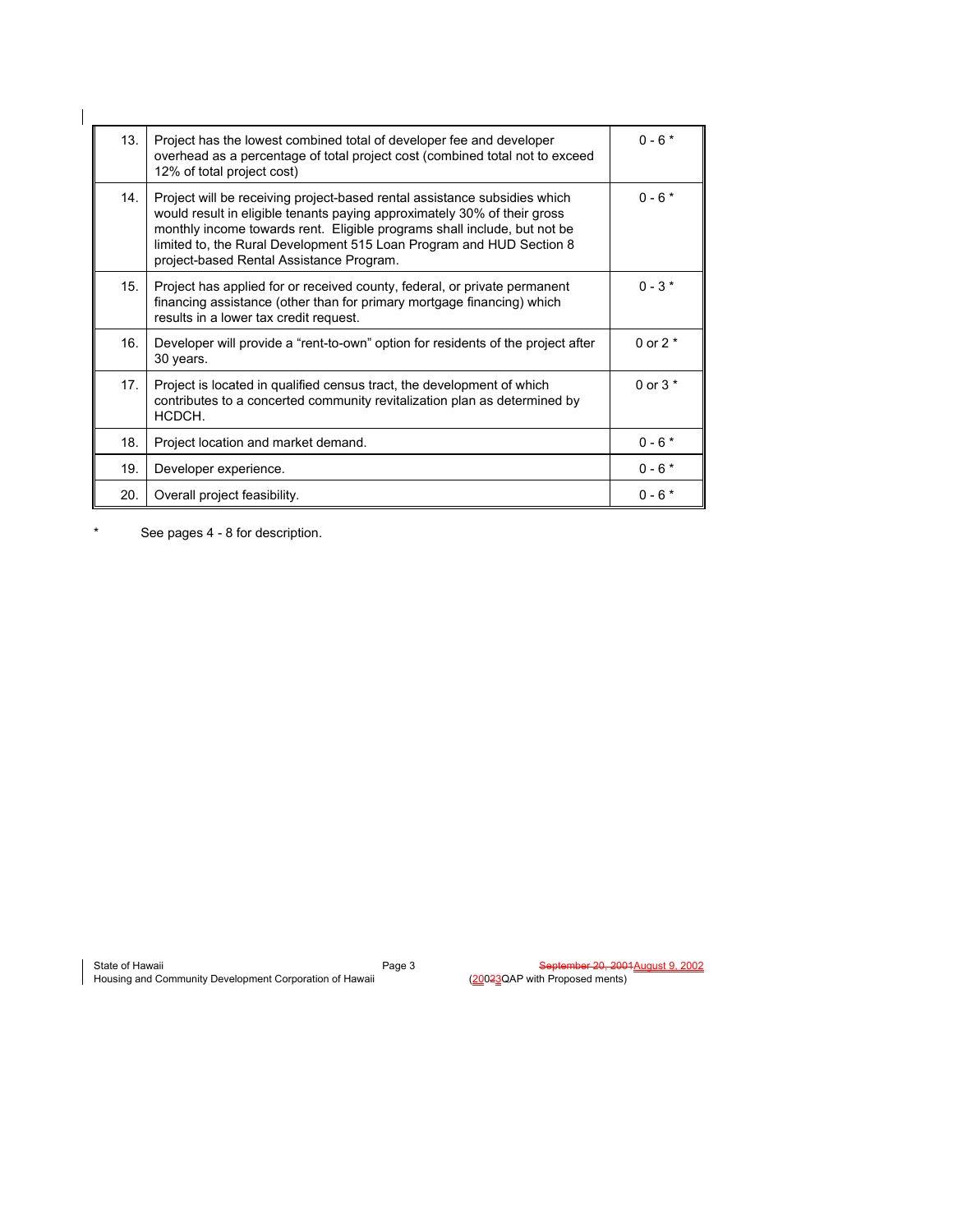| 13. | Project has the lowest combined total of developer fee and developer<br>overhead as a percentage of total project cost (combined total not to exceed<br>12% of total project cost)                                                                                                                                                                    | $0 - 6*$  |
|-----|-------------------------------------------------------------------------------------------------------------------------------------------------------------------------------------------------------------------------------------------------------------------------------------------------------------------------------------------------------|-----------|
| 14. | Project will be receiving project-based rental assistance subsidies which<br>would result in eligible tenants paying approximately 30% of their gross<br>monthly income towards rent. Eligible programs shall include, but not be<br>limited to, the Rural Development 515 Loan Program and HUD Section 8<br>project-based Rental Assistance Program. | $0 - 6*$  |
| 15. | Project has applied for or received county, federal, or private permanent<br>financing assistance (other than for primary mortgage financing) which<br>results in a lower tax credit request.                                                                                                                                                         | $0 - 3*$  |
| 16. | Developer will provide a "rent-to-own" option for residents of the project after<br>30 years.                                                                                                                                                                                                                                                         | 0 or $2*$ |
| 17. | Project is located in qualified census tract, the development of which<br>contributes to a concerted community revitalization plan as determined by<br>HCDCH.                                                                                                                                                                                         | 0 or $3*$ |
| 18. | Project location and market demand.                                                                                                                                                                                                                                                                                                                   | $0 - 6*$  |
| 19. | Developer experience.                                                                                                                                                                                                                                                                                                                                 | $0 - 6*$  |
| 20. | Overall project feasibility.                                                                                                                                                                                                                                                                                                                          | $0 - 6*$  |

\* See pages 4 - 8 for description.

 $\mathsf I$ 

State of Hawaii **Supervalue Contract of Hawaii** Page 3 September 20, 2001August 9, 2002 Housing and Community Development Corporation of Hawaii (20023QAP with Proposed ments)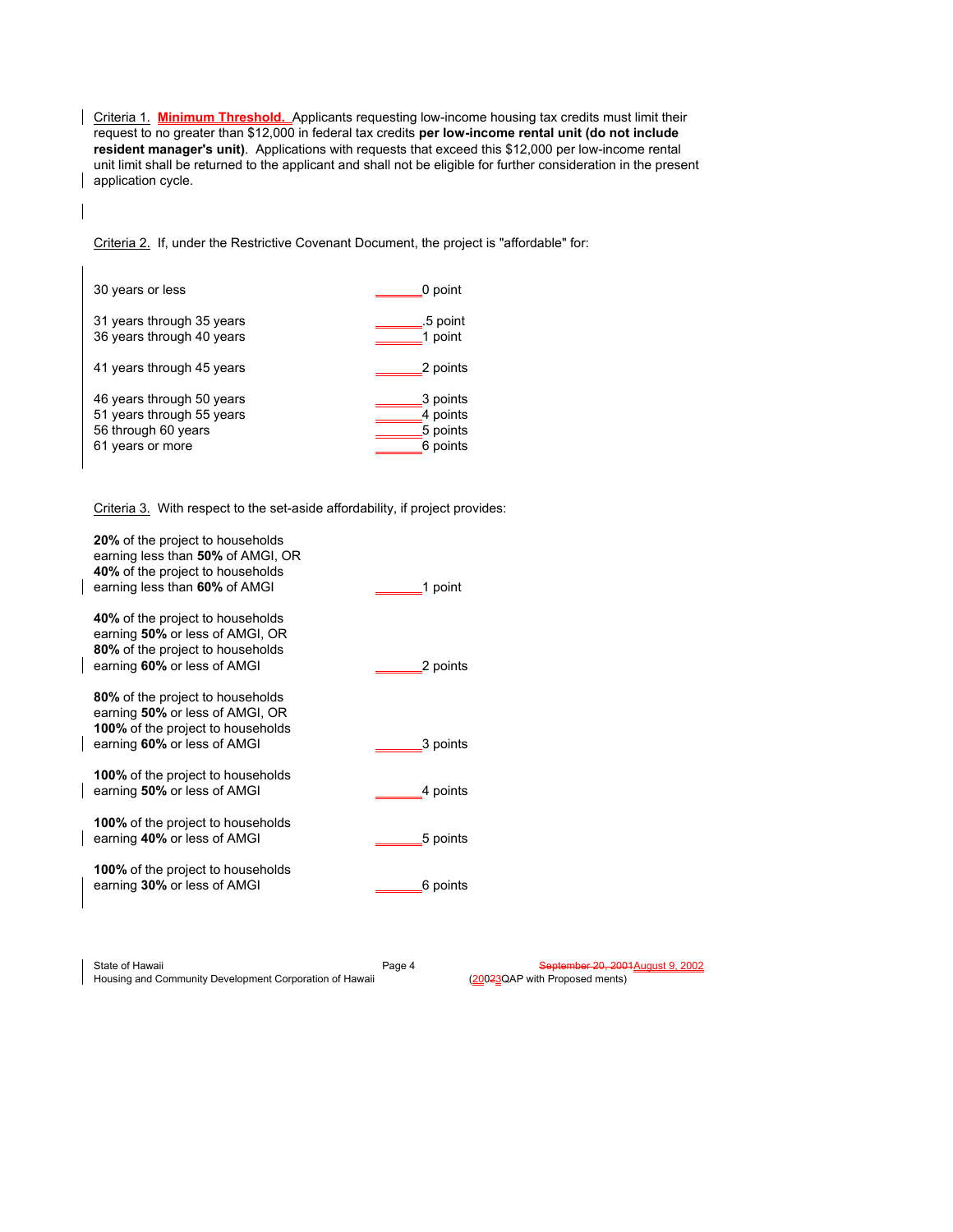Criteria 1. **Minimum Threshold.** Applicants requesting low-income housing tax credits must limit their request to no greater than \$12,000 in federal tax credits **per low-income rental unit (do not include resident manager's unit)**. Applications with requests that exceed this \$12,000 per low-income rental unit limit shall be returned to the applicant and shall not be eligible for further consideration in the present application cycle.

Criteria 2. If, under the Restrictive Covenant Document, the project is "affordable" for:

| 30 years or less          | 0 point  |
|---------------------------|----------|
| 31 years through 35 years | .5 point |
| 36 years through 40 years | 1 point  |
| 41 years through 45 years | 2 points |
| 46 years through 50 years | 3 points |
| 51 years through 55 years | 4 points |
| 56 through 60 years       | 5 points |
| 61 years or more          | 6 points |

 $\mathsf{l}$ 

Criteria 3. With respect to the set-aside affordability, if project provides:

| 20% of the project to households<br>earning less than 50% of AMGI, OR<br>40% of the project to households<br>earning less than 60% of AMGI     | 1 point  |
|------------------------------------------------------------------------------------------------------------------------------------------------|----------|
| 40% of the project to households<br>earning 50% or less of AMGI, OR<br>80% of the project to households<br>earning 60% or less of AMGI         | 2 points |
| 80% of the project to households<br>earning 50% or less of AMGI, OR<br><b>100%</b> of the project to households<br>earning 60% or less of AMGI | 3 points |
| <b>100%</b> of the project to households<br>earning 50% or less of AMGI                                                                        | 4 points |
| <b>100%</b> of the project to households<br>earning 40% or less of AMGI                                                                        | 5 points |
| <b>100%</b> of the project to households<br>earning 30% or less of AMGI                                                                        | 6 points |
|                                                                                                                                                |          |

State of Hawaii Page 4 September 20, 2001 August 9, 2002<br>Housing and Community Development Corporation of Hawaii (20023QAP with Proposed ments) Housing and Community Development Corporation of Hawaii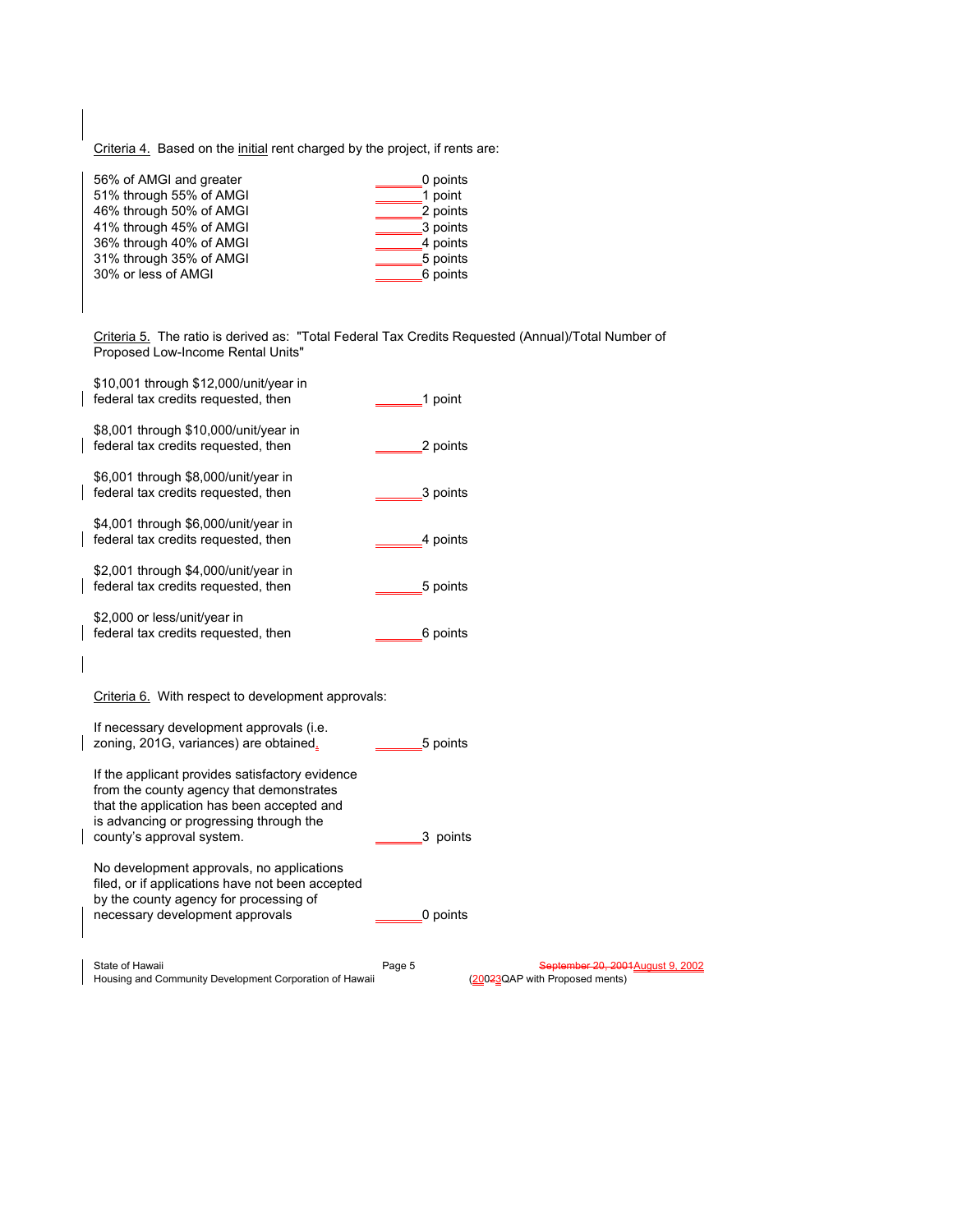Criteria 4. Based on the initial rent charged by the project, if rents are:

| 56% of AMGI and greater | 0 points |
|-------------------------|----------|
| 51% through 55% of AMGI | 1 point  |
| 46% through 50% of AMGI | 2 points |
| 41% through 45% of AMGI | 3 points |
| 36% through 40% of AMGI | 4 points |
| 31% through 35% of AMGI | 5 points |
| 30% or less of AMGI     | 6 points |
|                         |          |

Criteria 5. The ratio is derived as: "Total Federal Tax Credits Requested (Annual)/Total Number of Proposed Low-Income Rental Units"

|  | State of Hawaii                                                                                                                                                                                                   | Page 5   | Sentember 20, 2001 August 9 |
|--|-------------------------------------------------------------------------------------------------------------------------------------------------------------------------------------------------------------------|----------|-----------------------------|
|  | No development approvals, no applications<br>filed, or if applications have not been accepted<br>by the county agency for processing of<br>necessary development approvals                                        | 0 points |                             |
|  | If the applicant provides satisfactory evidence<br>from the county agency that demonstrates<br>that the application has been accepted and<br>is advancing or progressing through the<br>county's approval system. | 3 points |                             |
|  | If necessary development approvals (i.e.<br>zoning, 201G, variances) are obtained.                                                                                                                                | 5 points |                             |
|  | Criteria 6. With respect to development approvals:                                                                                                                                                                |          |                             |
|  | \$2,000 or less/unit/year in<br>federal tax credits requested, then                                                                                                                                               | 6 points |                             |
|  | \$2,001 through \$4,000/unit/year in<br>federal tax credits requested, then                                                                                                                                       | 5 points |                             |
|  | \$4,001 through \$6,000/unit/year in<br>federal tax credits requested, then                                                                                                                                       | 4 points |                             |
|  | \$6,001 through \$8,000/unit/year in<br>federal tax credits requested, then                                                                                                                                       | 3 points |                             |
|  | \$8,001 through \$10,000/unit/year in<br>federal tax credits requested, then                                                                                                                                      | 2 points |                             |
|  | \$10,001 through \$12,000/unit/year in<br>federal tax credits requested, then                                                                                                                                     | 1 point  |                             |

State of Hawaii **Supervalue Contract of Hawaii** Page 5 September 20, 2001August 9, 2002 Housing and Community Development Corporation of Hawaii (20023QAP with Proposed ments)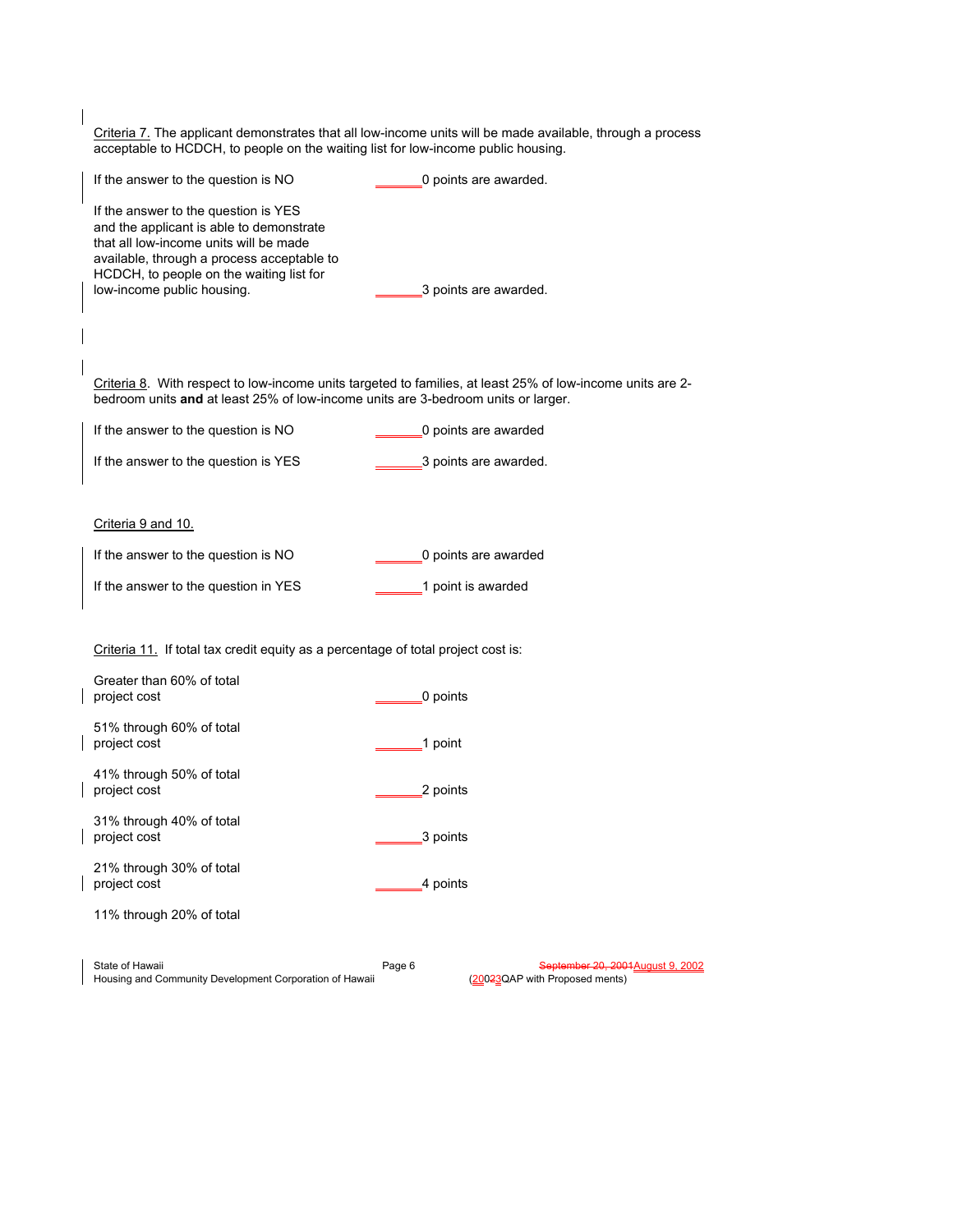| Criteria 7. The applicant demonstrates that all low-income units will be made available, through a process<br>acceptable to HCDCH, to people on the waiting list for low-income public housing.                                                    |          |                                                                     |
|----------------------------------------------------------------------------------------------------------------------------------------------------------------------------------------------------------------------------------------------------|----------|---------------------------------------------------------------------|
| If the answer to the question is NO                                                                                                                                                                                                                |          | 0 points are awarded.                                               |
| If the answer to the question is YES<br>and the applicant is able to demonstrate<br>that all low-income units will be made<br>available, through a process acceptable to<br>HCDCH, to people on the waiting list for<br>low-income public housing. |          | 3 points are awarded.                                               |
|                                                                                                                                                                                                                                                    |          |                                                                     |
| Criteria 8. With respect to low-income units targeted to families, at least 25% of low-income units are 2-<br>bedroom units and at least 25% of low-income units are 3-bedroom units or larger.                                                    |          |                                                                     |
| If the answer to the question is NO                                                                                                                                                                                                                |          | 0 points are awarded                                                |
| If the answer to the question is YES                                                                                                                                                                                                               |          | 3 points are awarded.                                               |
|                                                                                                                                                                                                                                                    |          |                                                                     |
| Criteria 9 and 10.                                                                                                                                                                                                                                 |          |                                                                     |
| If the answer to the question is NO                                                                                                                                                                                                                |          | 0 points are awarded                                                |
| If the answer to the question in YES                                                                                                                                                                                                               |          | 1 point is awarded                                                  |
|                                                                                                                                                                                                                                                    |          |                                                                     |
| Criteria 11. If total tax credit equity as a percentage of total project cost is:                                                                                                                                                                  |          |                                                                     |
| Greater than 60% of total<br>project cost                                                                                                                                                                                                          | 0 points |                                                                     |
| 51% through 60% of total<br>project cost                                                                                                                                                                                                           | 1 point  |                                                                     |
| 41% through 50% of total<br>project cost                                                                                                                                                                                                           | 2 points |                                                                     |
| 31% through 40% of total<br>project cost                                                                                                                                                                                                           | 3 points |                                                                     |
| 21% through 30% of total<br>project cost                                                                                                                                                                                                           | 4 points |                                                                     |
| 11% through 20% of total                                                                                                                                                                                                                           |          |                                                                     |
|                                                                                                                                                                                                                                                    |          |                                                                     |
| State of Hawaii<br>Housing and Community Development Corporation of Hawaii                                                                                                                                                                         | Page 6   | September 20, 2001 August 9, 2002<br>(20023QAP with Proposed ments) |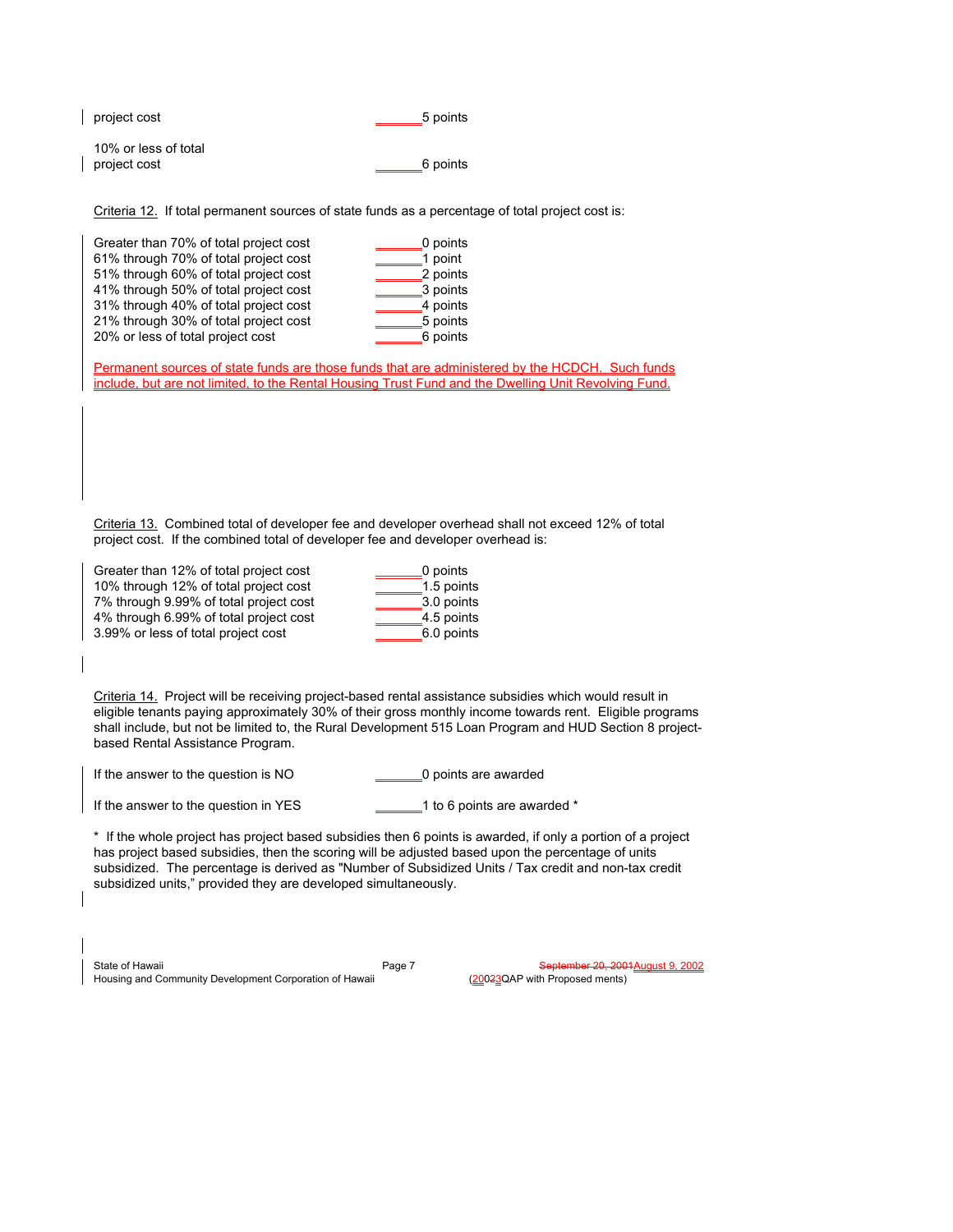| project cost         | 5 points |
|----------------------|----------|
| 10% or less of total |          |
| project cost         | 6 points |

 $\overline{\phantom{a}}$ 

Criteria 12. If total permanent sources of state funds as a percentage of total project cost is:

Permanent sources of state funds are those funds that are administered by the HCDCH. Such funds include, but are not limited, to the Rental Housing Trust Fund and the Dwelling Unit Revolving Fund.

Criteria 13. Combined total of developer fee and developer overhead shall not exceed 12% of total project cost. If the combined total of developer fee and developer overhead is:

| Greater than 12% of total project cost | 0 points   |
|----------------------------------------|------------|
| 10% through 12% of total project cost  | 1.5 points |
| 7% through 9.99% of total project cost | 3.0 points |
| 4% through 6.99% of total project cost | 4.5 points |
| 3.99% or less of total project cost    | 6.0 points |

Criteria 14. Project will be receiving project-based rental assistance subsidies which would result in eligible tenants paying approximately 30% of their gross monthly income towards rent. Eligible programs shall include, but not be limited to, the Rural Development 515 Loan Program and HUD Section 8 projectbased Rental Assistance Program.

| If the answer to the question is NO | 0 points are awarded |
|-------------------------------------|----------------------|
|                                     |                      |

If the answer to the question in YES 1 to 6 points are awarded \*

\* If the whole project has project based subsidies then 6 points is awarded, if only a portion of a project has project based subsidies, then the scoring will be adjusted based upon the percentage of units subsidized. The percentage is derived as "Number of Subsidized Units / Tax credit and non-tax credit subsidized units," provided they are developed simultaneously.

State of Hawaii Page 7 September 20, 2001 August 9, 2002<br>Housing and Community Development Corporation of Hawaii (20023QAP with Proposed ments) Housing and Community Development Corporation of Hawaii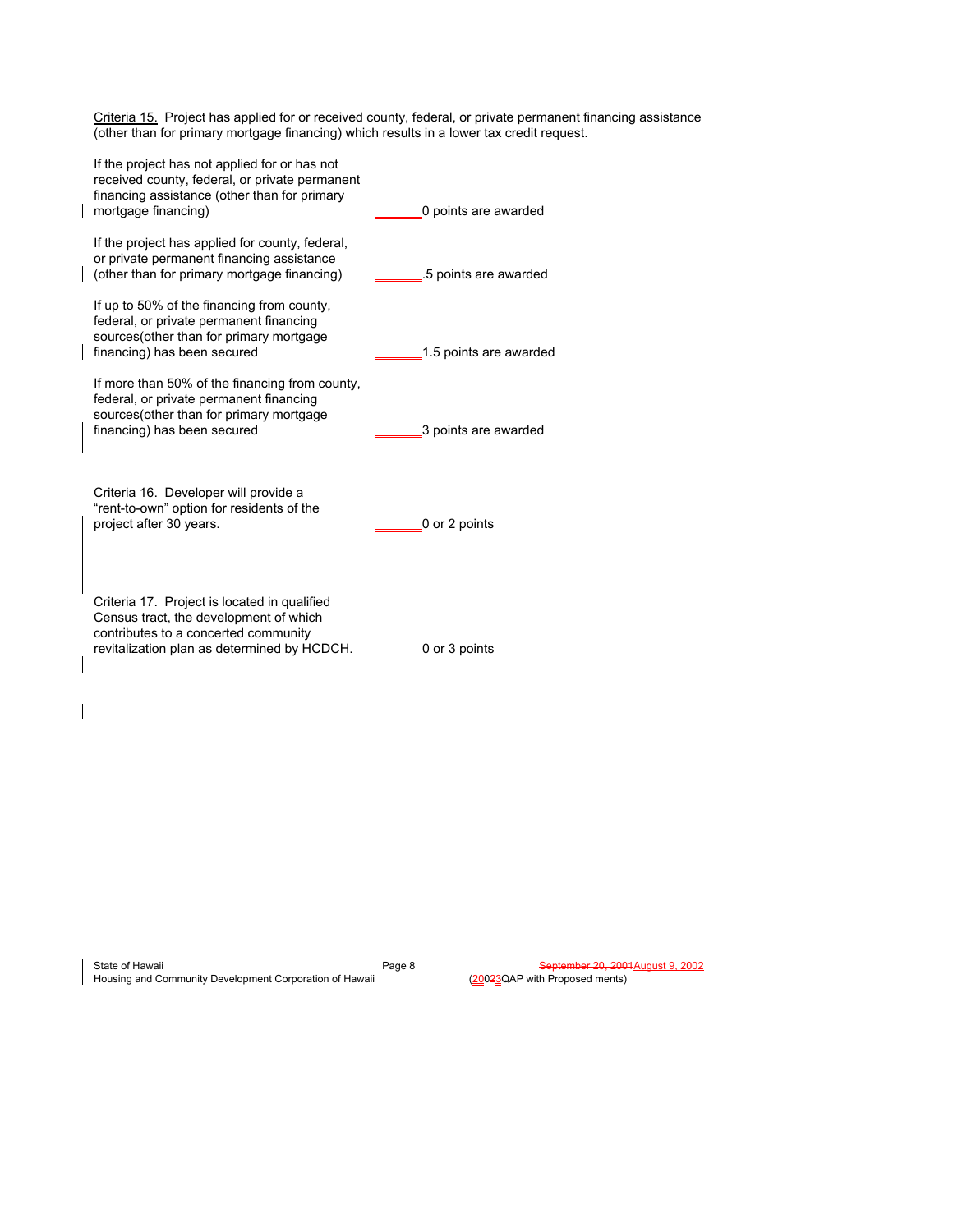Criteria 15. Project has applied for or received county, federal, or private permanent financing assistance (other than for primary mortgage financing) which results in a lower tax credit request.

| If the project has not applied for or has not<br>received county, federal, or private permanent<br>financing assistance (other than for primary<br>mortgage financing)        | 0 points are awarded   |
|-------------------------------------------------------------------------------------------------------------------------------------------------------------------------------|------------------------|
| If the project has applied for county, federal,<br>or private permanent financing assistance<br>(other than for primary mortgage financing)                                   | 5 points are awarded   |
| If up to 50% of the financing from county,<br>federal, or private permanent financing<br>sources (other than for primary mortgage<br>financing) has been secured              | 1.5 points are awarded |
| If more than 50% of the financing from county,<br>federal, or private permanent financing<br>sources (other than for primary mortgage<br>financing) has been secured          | 3 points are awarded   |
| Criteria 16. Developer will provide a<br>"rent-to-own" option for residents of the<br>project after 30 years.                                                                 | 0 or 2 points          |
| Criteria 17. Project is located in qualified<br>Census tract, the development of which<br>contributes to a concerted community<br>revitalization plan as determined by HCDCH. | 0 or 3 points          |

| State of Hawaii                                         | Page |
|---------------------------------------------------------|------|
| Housing and Community Development Corporation of Hawaii |      |

 $\overline{\phantom{a}}$ 

8 September 20, 2001August 9, 2002 (20023QAP with Proposed ments)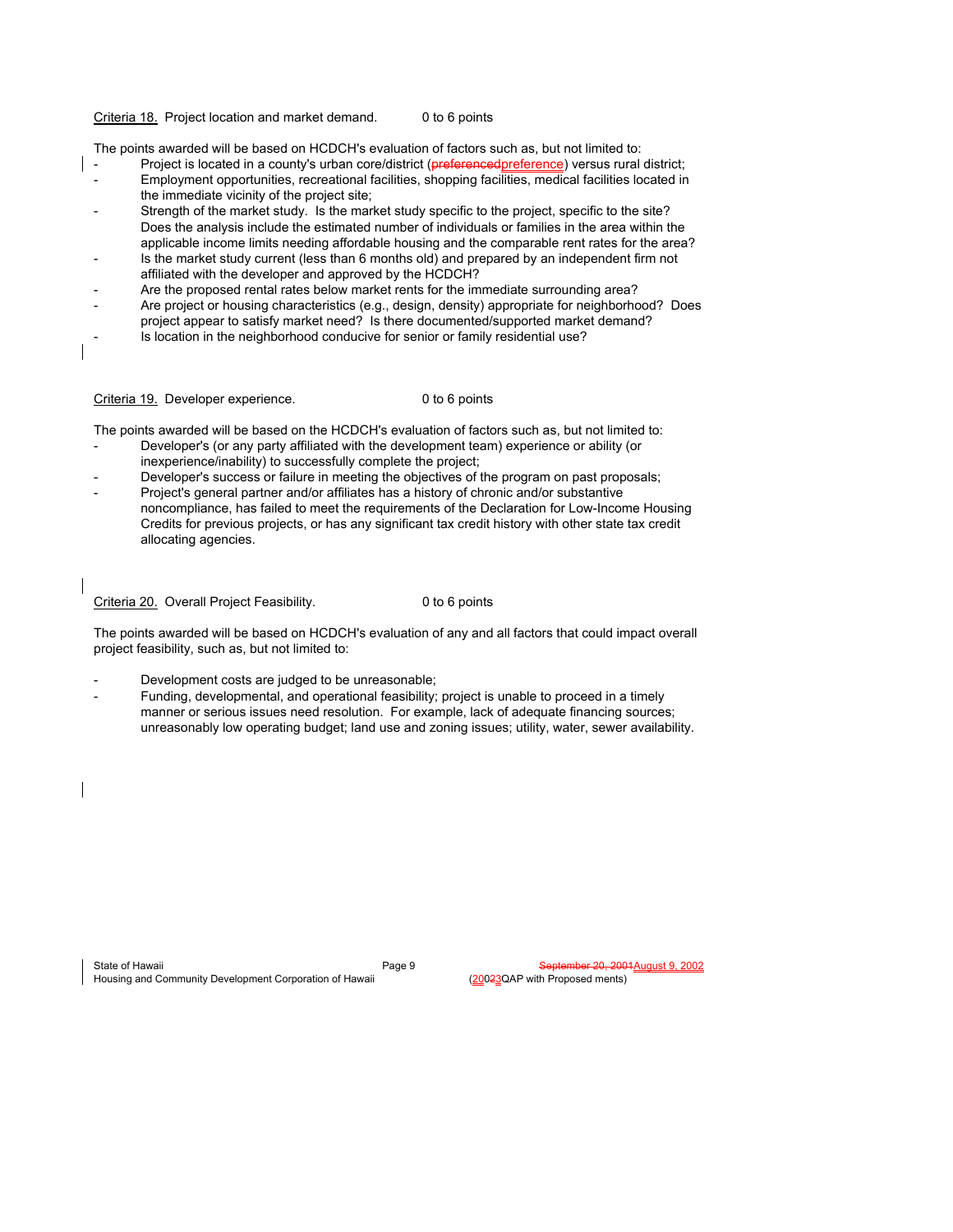### Criteria 18. Project location and market demand. 0 to 6 points

The points awarded will be based on HCDCH's evaluation of factors such as, but not limited to:

- Project is located in a county's urban core/district (preferencedpreference) versus rural district; - Employment opportunities, recreational facilities, shopping facilities, medical facilities located in the immediate vicinity of the project site;
- Strength of the market study. Is the market study specific to the project, specific to the site? Does the analysis include the estimated number of individuals or families in the area within the applicable income limits needing affordable housing and the comparable rent rates for the area?
- Is the market study current (less than 6 months old) and prepared by an independent firm not affiliated with the developer and approved by the HCDCH?
- Are the proposed rental rates below market rents for the immediate surrounding area?
- Are project or housing characteristics (e.g., design, density) appropriate for neighborhood? Does project appear to satisfy market need? Is there documented/supported market demand?
- Is location in the neighborhood conducive for senior or family residential use?

Criteria 19. Developer experience. 0 to 6 points

The points awarded will be based on the HCDCH's evaluation of factors such as, but not limited to:

- Developer's (or any party affiliated with the development team) experience or ability (or inexperience/inability) to successfully complete the project;
- Developer's success or failure in meeting the objectives of the program on past proposals;
- Project's general partner and/or affiliates has a history of chronic and/or substantive noncompliance, has failed to meet the requirements of the Declaration for Low-Income Housing Credits for previous projects, or has any significant tax credit history with other state tax credit allocating agencies.

Criteria 20. Overall Project Feasibility. 0 to 6 points

The points awarded will be based on HCDCH's evaluation of any and all factors that could impact overall project feasibility, such as, but not limited to:

- Development costs are judged to be unreasonable;
- Funding, developmental, and operational feasibility; project is unable to proceed in a timely manner or serious issues need resolution. For example, lack of adequate financing sources; unreasonably low operating budget; land use and zoning issues; utility, water, sewer availability.

State of Hawaii Page 9 September 20, 2001 August 9, 2002<br>Housing and Community Development Corporation of Hawaii (20023QAP with Proposed ments) Housing and Community Development Corporation of Hawaii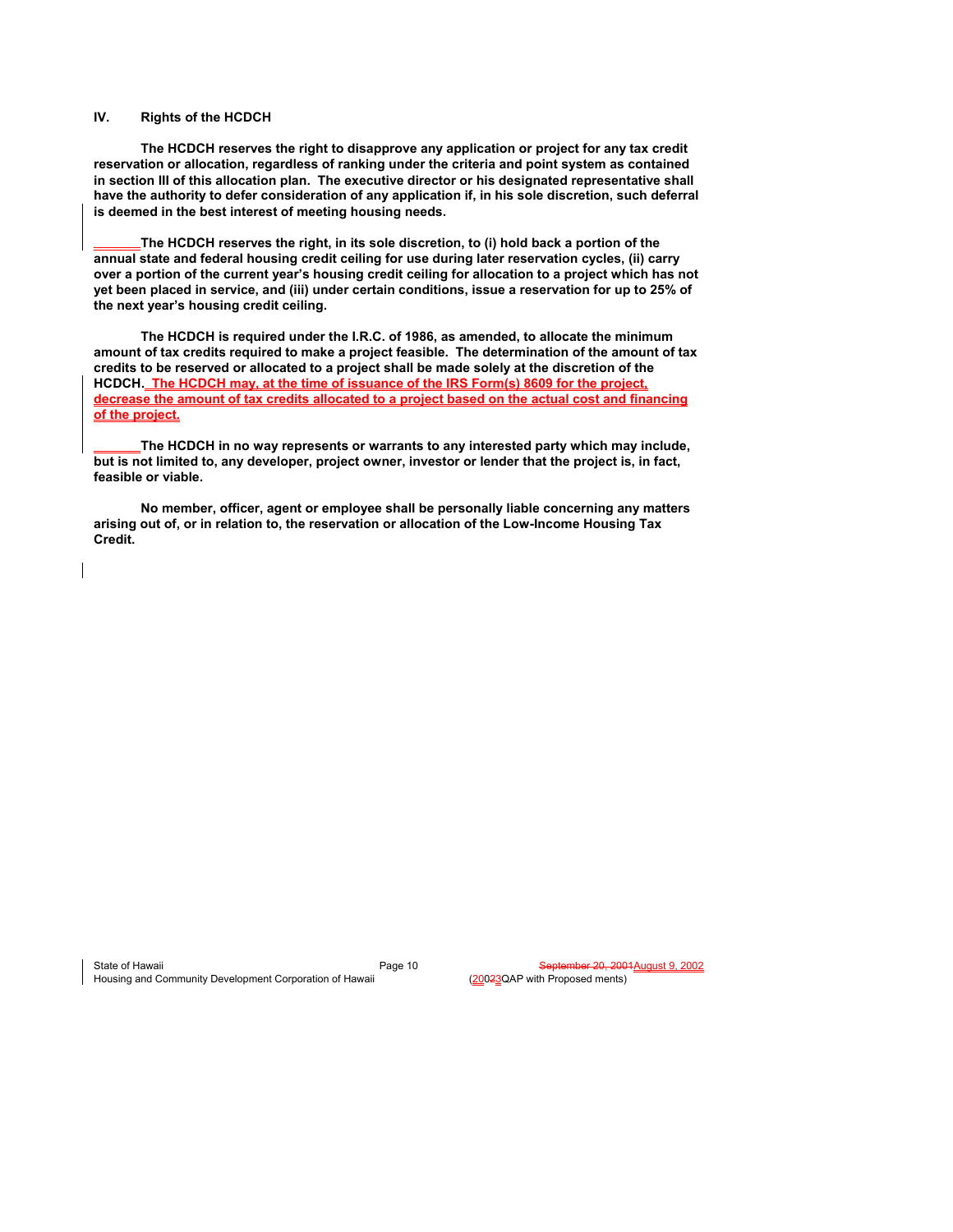## **IV. Rights of the HCDCH**

 **The HCDCH reserves the right to disapprove any application or project for any tax credit reservation or allocation, regardless of ranking under the criteria and point system as contained in section III of this allocation plan. The executive director or his designated representative shall have the authority to defer consideration of any application if, in his sole discretion, such deferral is deemed in the best interest of meeting housing needs.** 

**The HCDCH reserves the right, in its sole discretion, to (i) hold back a portion of the annual state and federal housing credit ceiling for use during later reservation cycles, (ii) carry over a portion of the current year's housing credit ceiling for allocation to a project which has not yet been placed in service, and (iii) under certain conditions, issue a reservation for up to 25% of the next year's housing credit ceiling.** 

 **The HCDCH is required under the I.R.C. of 1986, as amended, to allocate the minimum amount of tax credits required to make a project feasible. The determination of the amount of tax credits to be reserved or allocated to a project shall be made solely at the discretion of the HCDCH. The HCDCH may, at the time of issuance of the IRS Form(s) 8609 for the project, decrease the amount of tax credits allocated to a project based on the actual cost and financing of the project.** 

**The HCDCH in no way represents or warrants to any interested party which may include, but is not limited to, any developer, project owner, investor or lender that the project is, in fact, feasible or viable.** 

 **No member, officer, agent or employee shall be personally liable concerning any matters arising out of, or in relation to, the reservation or allocation of the Low-Income Housing Tax Credit.** 

State of Hawaii Page 10<br>
Housing and Community Development Corporation of Hawaii Page 10 September 20, 2001 August 9, 2002 Housing and Community Development Corporation of Hawaii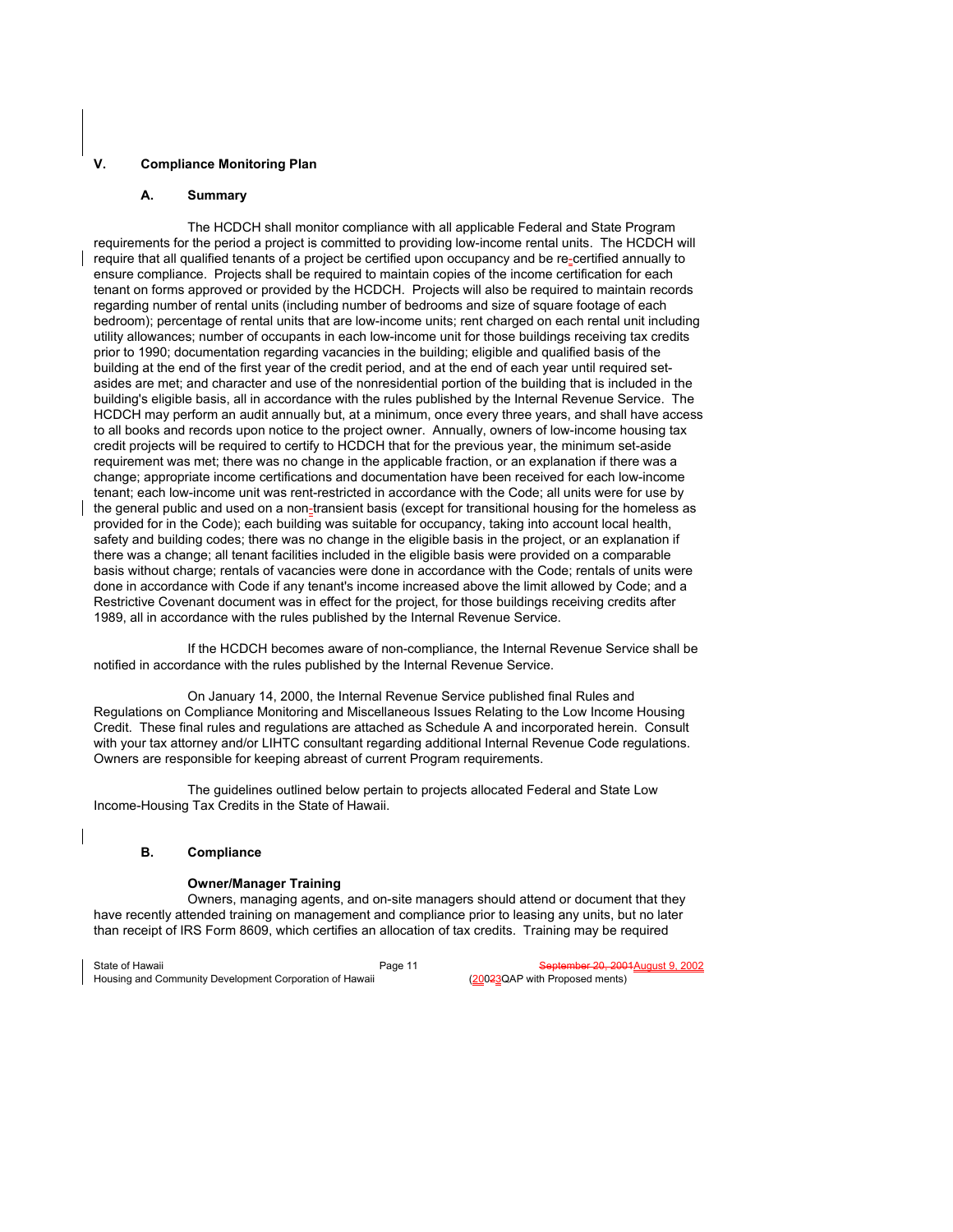## **V. Compliance Monitoring Plan**

### **A. Summary**

 The HCDCH shall monitor compliance with all applicable Federal and State Program requirements for the period a project is committed to providing low-income rental units. The HCDCH will require that all qualified tenants of a project be certified upon occupancy and be re-certified annually to ensure compliance. Projects shall be required to maintain copies of the income certification for each tenant on forms approved or provided by the HCDCH. Projects will also be required to maintain records regarding number of rental units (including number of bedrooms and size of square footage of each bedroom); percentage of rental units that are low-income units; rent charged on each rental unit including utility allowances; number of occupants in each low-income unit for those buildings receiving tax credits prior to 1990; documentation regarding vacancies in the building; eligible and qualified basis of the building at the end of the first year of the credit period, and at the end of each year until required setasides are met; and character and use of the nonresidential portion of the building that is included in the building's eligible basis, all in accordance with the rules published by the Internal Revenue Service. The HCDCH may perform an audit annually but, at a minimum, once every three years, and shall have access to all books and records upon notice to the project owner. Annually, owners of low-income housing tax credit projects will be required to certify to HCDCH that for the previous year, the minimum set-aside requirement was met; there was no change in the applicable fraction, or an explanation if there was a change; appropriate income certifications and documentation have been received for each low-income tenant; each low-income unit was rent-restricted in accordance with the Code; all units were for use by the general public and used on a non-transient basis (except for transitional housing for the homeless as provided for in the Code); each building was suitable for occupancy, taking into account local health, safety and building codes; there was no change in the eligible basis in the project, or an explanation if there was a change; all tenant facilities included in the eligible basis were provided on a comparable basis without charge; rentals of vacancies were done in accordance with the Code; rentals of units were done in accordance with Code if any tenant's income increased above the limit allowed by Code; and a Restrictive Covenant document was in effect for the project, for those buildings receiving credits after 1989, all in accordance with the rules published by the Internal Revenue Service.

 If the HCDCH becomes aware of non-compliance, the Internal Revenue Service shall be notified in accordance with the rules published by the Internal Revenue Service.

 On January 14, 2000, the Internal Revenue Service published final Rules and Regulations on Compliance Monitoring and Miscellaneous Issues Relating to the Low Income Housing Credit. These final rules and regulations are attached as Schedule A and incorporated herein. Consult with your tax attorney and/or LIHTC consultant regarding additional Internal Revenue Code regulations. Owners are responsible for keeping abreast of current Program requirements.

 The guidelines outlined below pertain to projects allocated Federal and State Low Income-Housing Tax Credits in the State of Hawaii.

### **B. Compliance**

### **Owner/Manager Training**

 Owners, managing agents, and on-site managers should attend or document that they have recently attended training on management and compliance prior to leasing any units, but no later than receipt of IRS Form 8609, which certifies an allocation of tax credits. Training may be required

State of Hawaii Page 11 State of Hawaii Page 11 September 20, 2001<br>Housing and Community Development Corporation of Hawaii (20023QAP with Proposed ments) Housing and Community Development Corporation of Hawaii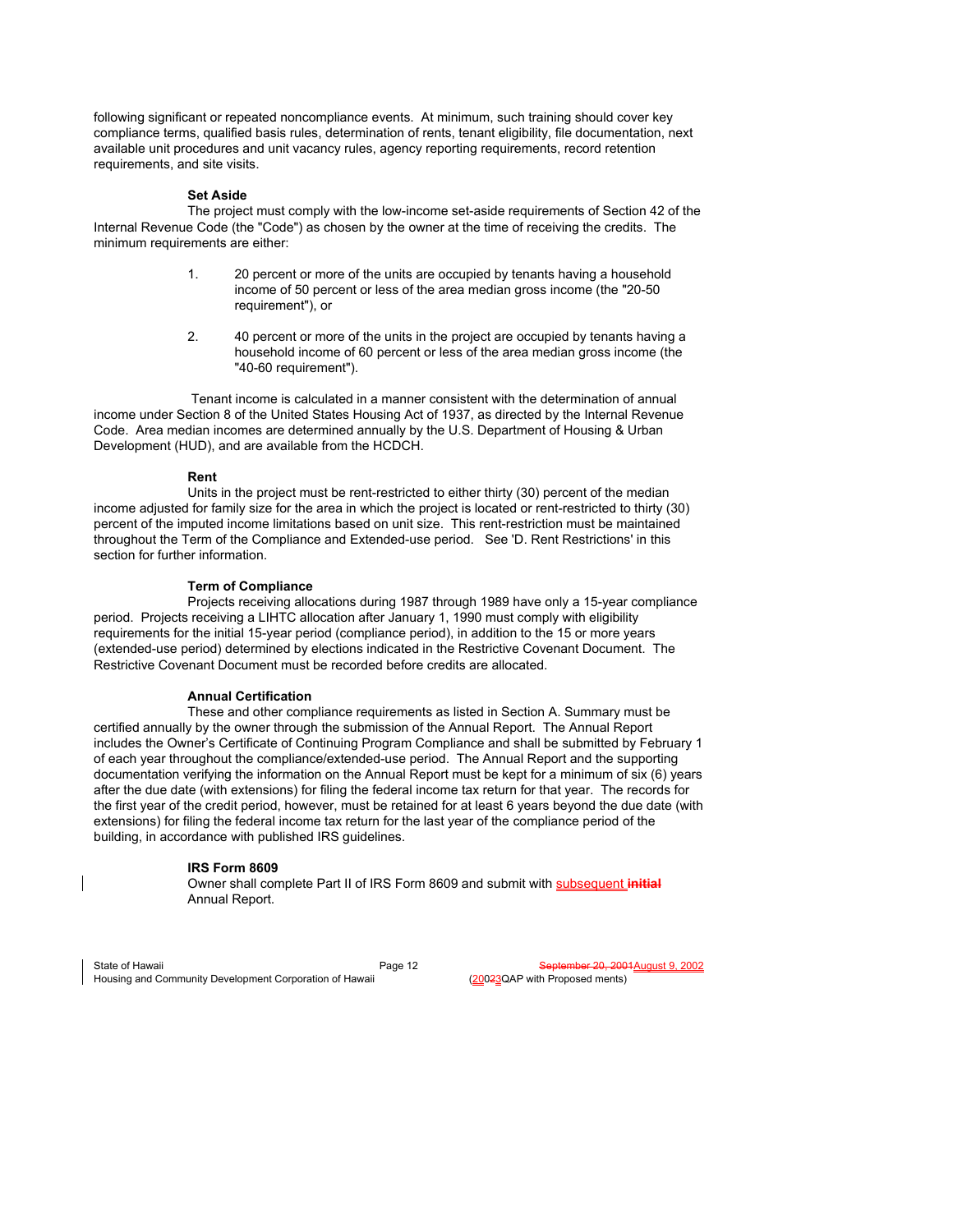following significant or repeated noncompliance events. At minimum, such training should cover key compliance terms, qualified basis rules, determination of rents, tenant eligibility, file documentation, next available unit procedures and unit vacancy rules, agency reporting requirements, record retention requirements, and site visits.

### **Set Aside**

 The project must comply with the low-income set-aside requirements of Section 42 of the Internal Revenue Code (the "Code") as chosen by the owner at the time of receiving the credits. The minimum requirements are either:

- 1. 20 percent or more of the units are occupied by tenants having a household income of 50 percent or less of the area median gross income (the "20-50 requirement"), or
- 2. 40 percent or more of the units in the project are occupied by tenants having a household income of 60 percent or less of the area median gross income (the "40-60 requirement").

 Tenant income is calculated in a manner consistent with the determination of annual income under Section 8 of the United States Housing Act of 1937, as directed by the Internal Revenue Code. Area median incomes are determined annually by the U.S. Department of Housing & Urban Development (HUD), and are available from the HCDCH.

## **Rent**

 Units in the project must be rent-restricted to either thirty (30) percent of the median income adjusted for family size for the area in which the project is located or rent-restricted to thirty (30) percent of the imputed income limitations based on unit size. This rent-restriction must be maintained throughout the Term of the Compliance and Extended-use period. See 'D. Rent Restrictions' in this section for further information.

### **Term of Compliance**

 Projects receiving allocations during 1987 through 1989 have only a 15-year compliance period. Projects receiving a LIHTC allocation after January 1, 1990 must comply with eligibility requirements for the initial 15-year period (compliance period), in addition to the 15 or more years (extended-use period) determined by elections indicated in the Restrictive Covenant Document. The Restrictive Covenant Document must be recorded before credits are allocated.

### **Annual Certification**

 These and other compliance requirements as listed in Section A. Summary must be certified annually by the owner through the submission of the Annual Report. The Annual Report includes the Owner's Certificate of Continuing Program Compliance and shall be submitted by February 1 of each year throughout the compliance/extended-use period. The Annual Report and the supporting documentation verifying the information on the Annual Report must be kept for a minimum of six (6) years after the due date (with extensions) for filing the federal income tax return for that year. The records for the first year of the credit period, however, must be retained for at least 6 years beyond the due date (with extensions) for filing the federal income tax return for the last year of the compliance period of the building, in accordance with published IRS guidelines.

### **IRS Form 8609**

 Owner shall complete Part II of IRS Form 8609 and submit with subsequent **initial** Annual Report.

State of Hawaii Page 12 Fage 12 September 20, 2001<br>Housing and Community Development Corporation of Hawaii (20023QAP with Proposed ments) Housing and Community Development Corporation of Hawaii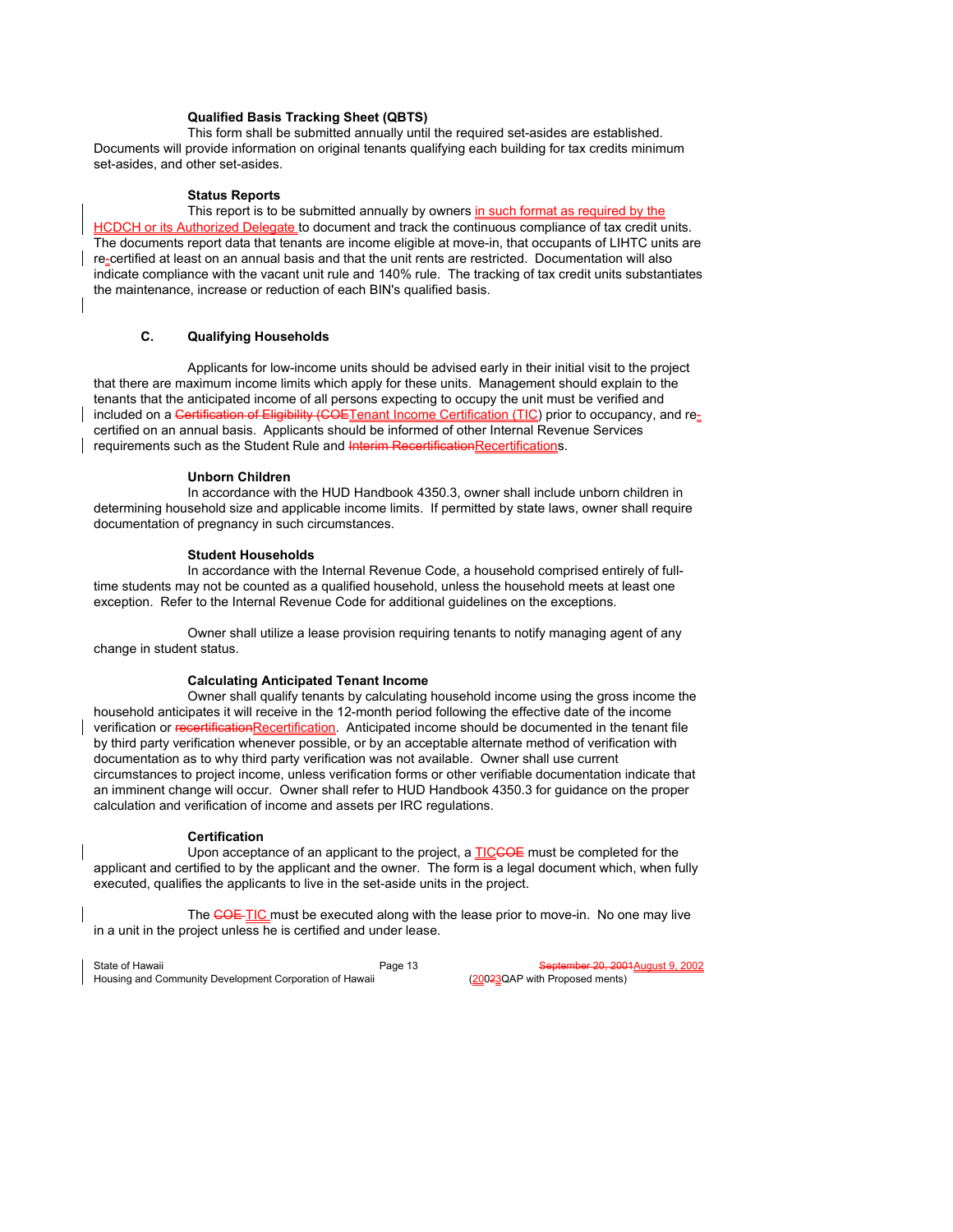## **Qualified Basis Tracking Sheet (QBTS)**

 This form shall be submitted annually until the required set-asides are established. Documents will provide information on original tenants qualifying each building for tax credits minimum set-asides, and other set-asides.

### **Status Reports**

This report is to be submitted annually by owners in such format as required by the HCDCH or its Authorized Delegate to document and track the continuous compliance of tax credit units. The documents report data that tenants are income eligible at move-in, that occupants of LIHTC units are re-certified at least on an annual basis and that the unit rents are restricted. Documentation will also indicate compliance with the vacant unit rule and 140% rule. The tracking of tax credit units substantiates the maintenance, increase or reduction of each BIN's qualified basis.

## **C. Qualifying Households**

 Applicants for low-income units should be advised early in their initial visit to the project that there are maximum income limits which apply for these units. Management should explain to the tenants that the anticipated income of all persons expecting to occupy the unit must be verified and included on a Certification of Eligibility (COETenant Income Certification (TIC) prior to occupancy, and recertified on an annual basis. Applicants should be informed of other Internal Revenue Services requirements such as the Student Rule and Interim RecertificationRecertifications.

## **Unborn Children**

 In accordance with the HUD Handbook 4350.3, owner shall include unborn children in determining household size and applicable income limits. If permitted by state laws, owner shall require documentation of pregnancy in such circumstances.

### **Student Households**

 In accordance with the Internal Revenue Code, a household comprised entirely of fulltime students may not be counted as a qualified household, unless the household meets at least one exception. Refer to the Internal Revenue Code for additional guidelines on the exceptions.

 Owner shall utilize a lease provision requiring tenants to notify managing agent of any change in student status.

### **Calculating Anticipated Tenant Income**

 Owner shall qualify tenants by calculating household income using the gross income the household anticipates it will receive in the 12-month period following the effective date of the income verification or recertificationRecertification. Anticipated income should be documented in the tenant file by third party verification whenever possible, or by an acceptable alternate method of verification with documentation as to why third party verification was not available. Owner shall use current circumstances to project income, unless verification forms or other verifiable documentation indicate that an imminent change will occur. Owner shall refer to HUD Handbook 4350.3 for guidance on the proper calculation and verification of income and assets per IRC regulations.

### **Certification**

Upon acceptance of an applicant to the project, a **TICCOE** must be completed for the applicant and certified to by the applicant and the owner. The form is a legal document which, when fully executed, qualifies the applicants to live in the set-aside units in the project.

The COE TIC must be executed along with the lease prior to move-in. No one may live in a unit in the project unless he is certified and under lease.

State of Hawaii Page 13 Fage 13 September 20, 2001<br>Housing and Community Development Corporation of Hawaii (20023QAP with Proposed ments) Housing and Community Development Corporation of Hawaii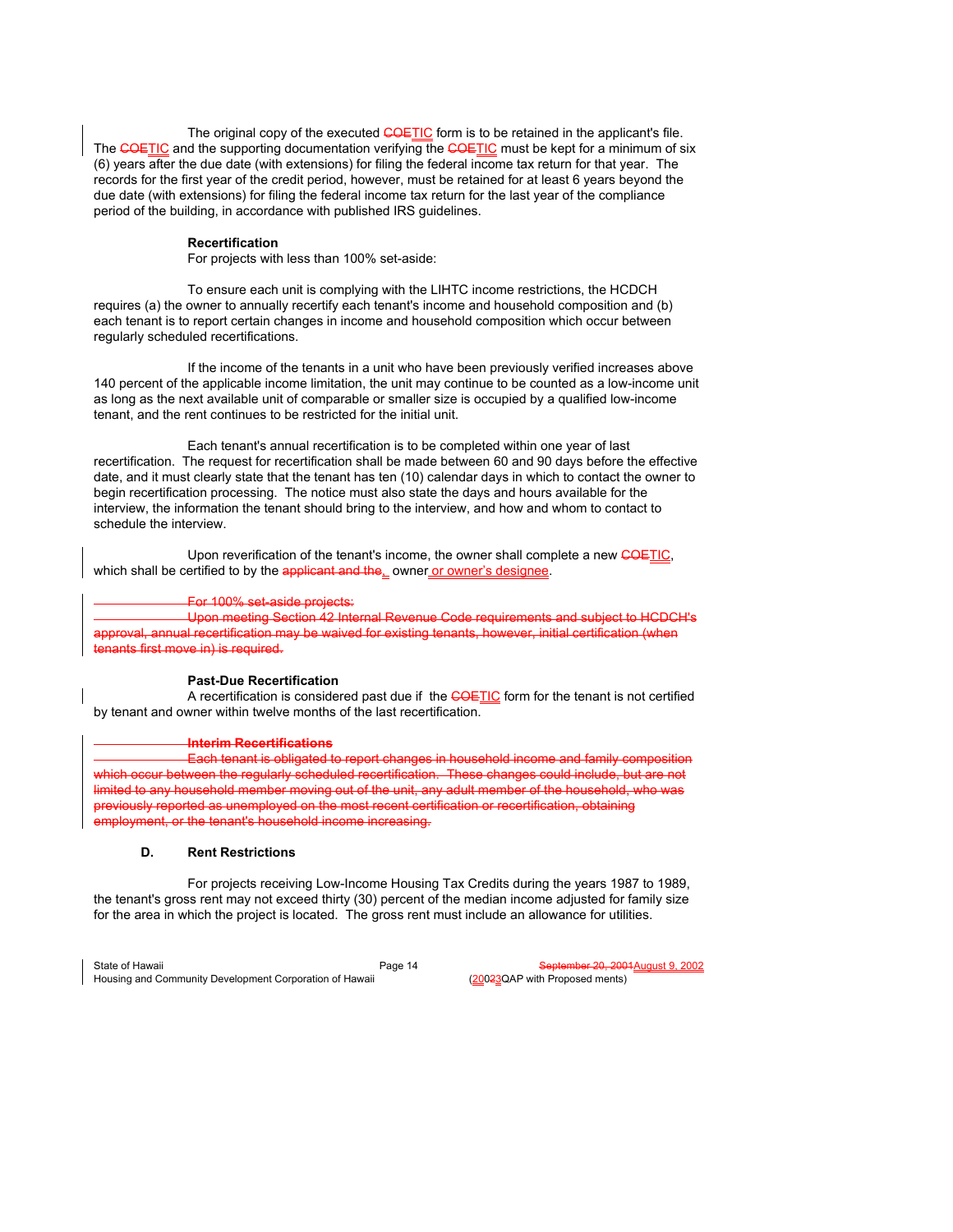The original copy of the executed COETIC form is to be retained in the applicant's file. The COETIC and the supporting documentation verifying the COETIC must be kept for a minimum of six (6) years after the due date (with extensions) for filing the federal income tax return for that year. The records for the first year of the credit period, however, must be retained for at least 6 years beyond the due date (with extensions) for filing the federal income tax return for the last year of the compliance period of the building, in accordance with published IRS guidelines.

## **Recertification**

For projects with less than 100% set-aside:

 To ensure each unit is complying with the LIHTC income restrictions, the HCDCH requires (a) the owner to annually recertify each tenant's income and household composition and (b) each tenant is to report certain changes in income and household composition which occur between regularly scheduled recertifications.

 If the income of the tenants in a unit who have been previously verified increases above 140 percent of the applicable income limitation, the unit may continue to be counted as a low-income unit as long as the next available unit of comparable or smaller size is occupied by a qualified low-income tenant, and the rent continues to be restricted for the initial unit.

 Each tenant's annual recertification is to be completed within one year of last recertification. The request for recertification shall be made between 60 and 90 days before the effective date, and it must clearly state that the tenant has ten (10) calendar days in which to contact the owner to begin recertification processing. The notice must also state the days and hours available for the interview, the information the tenant should bring to the interview, and how and whom to contact to schedule the interview.

Upon reverification of the tenant's income, the owner shall complete a new COETIC, which shall be certified to by the applicant and the, owner or owner's designee.

### For 100% set-aside projects:

Upon meeting Section 42 Internal Revenue Code requirements and subject to HCDCH's annual recertification may be waived for existing tenants, however, initial certification (when tenants first move in) is required.

### **Past-Due Recertification**

A recertification is considered past due if the COETIC form for the tenant is not certified by tenant and owner within twelve months of the last recertification.

### **Interim Recertifications**

Each tenant is obligated to report changes in household income and family composition occur between the regularly scheduled recertification. These changes could include, but are not d to any household member moving out of the unit, any adult member of the household, who was eviously reported as unemployed on the most recent certification or recertification, obtaining ployment, or the tenant's household income increasing.

### **D. Rent Restrictions**

 For projects receiving Low-Income Housing Tax Credits during the years 1987 to 1989, the tenant's gross rent may not exceed thirty (30) percent of the median income adjusted for family size for the area in which the project is located. The gross rent must include an allowance for utilities.

State of Hawaii Page 14 State of Hawaii Page 14 September 20, 2001<br>Housing and Community Development Corporation of Hawaii (20023QAP with Proposed ments) Housing and Community Development Corporation of Hawaii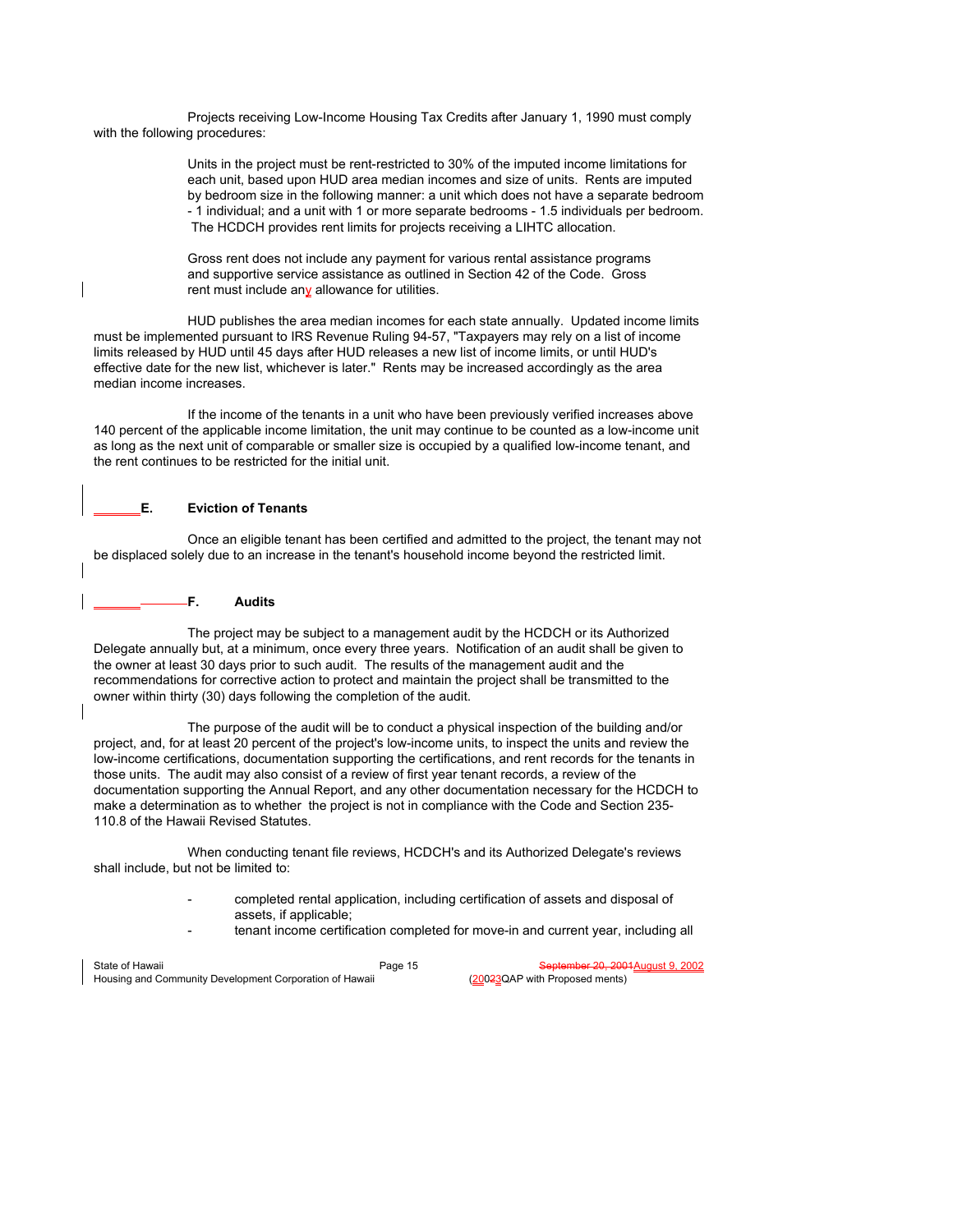Projects receiving Low-Income Housing Tax Credits after January 1, 1990 must comply with the following procedures:

> Units in the project must be rent-restricted to 30% of the imputed income limitations for each unit, based upon HUD area median incomes and size of units. Rents are imputed by bedroom size in the following manner: a unit which does not have a separate bedroom - 1 individual; and a unit with 1 or more separate bedrooms - 1.5 individuals per bedroom. The HCDCH provides rent limits for projects receiving a LIHTC allocation.

 Gross rent does not include any payment for various rental assistance programs and supportive service assistance as outlined in Section 42 of the Code. Gross rent must include any allowance for utilities.

 HUD publishes the area median incomes for each state annually. Updated income limits must be implemented pursuant to IRS Revenue Ruling 94-57, "Taxpayers may rely on a list of income limits released by HUD until 45 days after HUD releases a new list of income limits, or until HUD's effective date for the new list, whichever is later." Rents may be increased accordingly as the area median income increases.

 If the income of the tenants in a unit who have been previously verified increases above 140 percent of the applicable income limitation, the unit may continue to be counted as a low-income unit as long as the next unit of comparable or smaller size is occupied by a qualified low-income tenant, and the rent continues to be restricted for the initial unit.

# **E. Eviction of Tenants**

 Once an eligible tenant has been certified and admitted to the project, the tenant may not be displaced solely due to an increase in the tenant's household income beyond the restricted limit.

**F. Audits**

 The project may be subject to a management audit by the HCDCH or its Authorized Delegate annually but, at a minimum, once every three years. Notification of an audit shall be given to the owner at least 30 days prior to such audit. The results of the management audit and the recommendations for corrective action to protect and maintain the project shall be transmitted to the owner within thirty (30) days following the completion of the audit.

 The purpose of the audit will be to conduct a physical inspection of the building and/or project, and, for at least 20 percent of the project's low-income units, to inspect the units and review the low-income certifications, documentation supporting the certifications, and rent records for the tenants in those units. The audit may also consist of a review of first year tenant records, a review of the documentation supporting the Annual Report, and any other documentation necessary for the HCDCH to make a determination as to whether the project is not in compliance with the Code and Section 235- 110.8 of the Hawaii Revised Statutes.

 When conducting tenant file reviews, HCDCH's and its Authorized Delegate's reviews shall include, but not be limited to:

- completed rental application, including certification of assets and disposal of assets, if applicable;
- tenant income certification completed for move-in and current year, including all

| State of Hawaii                                         | Page 15 | September 20, 2001 August 9, 2002 |
|---------------------------------------------------------|---------|-----------------------------------|
| Housing and Community Development Corporation of Hawaii |         | (20023QAP with Proposed ments)    |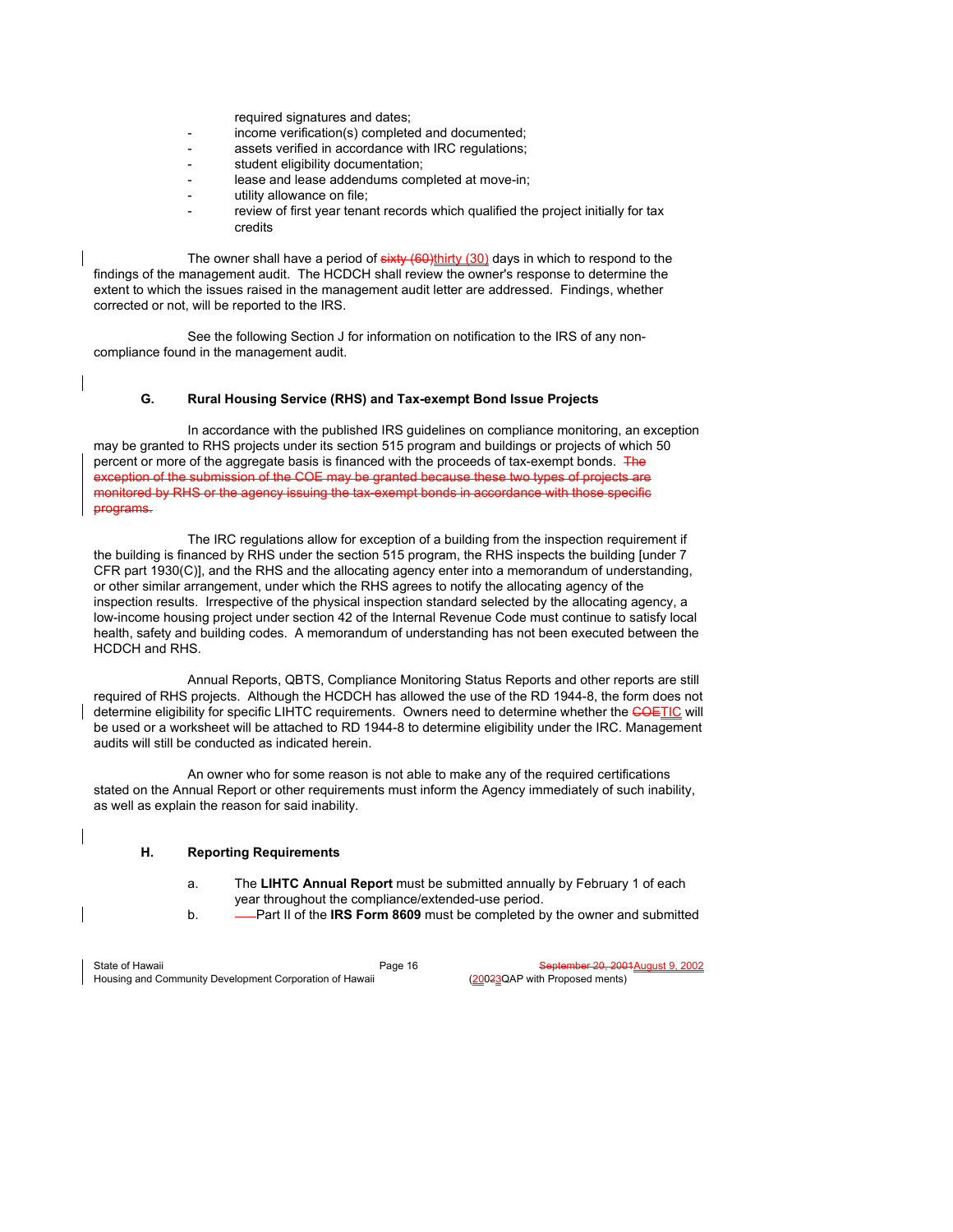required signatures and dates;

- income verification(s) completed and documented;
- assets verified in accordance with IRC regulations;
- student eligibility documentation;
- lease and lease addendums completed at move-in;
- utility allowance on file;
- review of first year tenant records which qualified the project initially for tax credits

The owner shall have a period of  $sixty (60)$ thirty  $(30)$  days in which to respond to the findings of the management audit. The HCDCH shall review the owner's response to determine the extent to which the issues raised in the management audit letter are addressed. Findings, whether corrected or not, will be reported to the IRS.

 See the following Section J for information on notification to the IRS of any noncompliance found in the management audit.

## **G. Rural Housing Service (RHS) and Tax-exempt Bond Issue Projects**

 In accordance with the published IRS guidelines on compliance monitoring, an exception may be granted to RHS projects under its section 515 program and buildings or projects of which 50 percent or more of the aggregate basis is financed with the proceeds of tax-exempt bonds. The of the submission of the COE may be granted because these two types of project monitored by RHS or the agency issuing the tax-exempt bonds in accordance with those specific programs.

 The IRC regulations allow for exception of a building from the inspection requirement if the building is financed by RHS under the section 515 program, the RHS inspects the building [under 7 CFR part 1930(C)], and the RHS and the allocating agency enter into a memorandum of understanding, or other similar arrangement, under which the RHS agrees to notify the allocating agency of the inspection results. Irrespective of the physical inspection standard selected by the allocating agency, a low-income housing project under section 42 of the Internal Revenue Code must continue to satisfy local health, safety and building codes. A memorandum of understanding has not been executed between the HCDCH and RHS.

 Annual Reports, QBTS, Compliance Monitoring Status Reports and other reports are still required of RHS projects. Although the HCDCH has allowed the use of the RD 1944-8, the form does not determine eligibility for specific LIHTC requirements. Owners need to determine whether the COETIC will be used or a worksheet will be attached to RD 1944-8 to determine eligibility under the IRC. Management audits will still be conducted as indicated herein.

 An owner who for some reason is not able to make any of the required certifications stated on the Annual Report or other requirements must inform the Agency immediately of such inability, as well as explain the reason for said inability.

## **H. Reporting Requirements**

- a. The **LIHTC Annual Report** must be submitted annually by February 1 of each year throughout the compliance/extended-use period.
- b. **-** Part II of the **IRS Form 8609** must be completed by the owner and submitted

State of Hawaii Page 16 Page 16 September 20, 2001<br>Housing and Community Development Corporation of Hawaii Page 16 (20023QAP with Proposed ments) Housing and Community Development Corporation of Hawaii